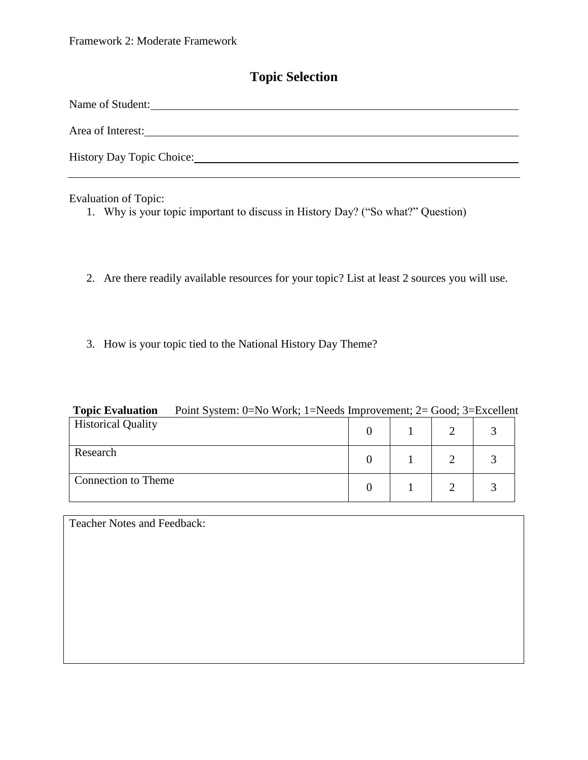# **Topic Selection**

| Name of Student:          |
|---------------------------|
| Area of Interest:         |
| History Day Topic Choice: |

Evaluation of Topic:

- 1. Why is your topic important to discuss in History Day? ("So what?" Question)
- 2. Are there readily available resources for your topic? List at least 2 sources you will use.
- 3. How is your topic tied to the National History Day Theme?

| <b>Topic Evaluation</b>   | Point System: 0=No Work; 1=Needs Improvement; 2= Good; 3=Excellent |  |  |  |
|---------------------------|--------------------------------------------------------------------|--|--|--|
| <b>Historical Quality</b> |                                                                    |  |  |  |
| Research                  |                                                                    |  |  |  |
| Connection to Theme       |                                                                    |  |  |  |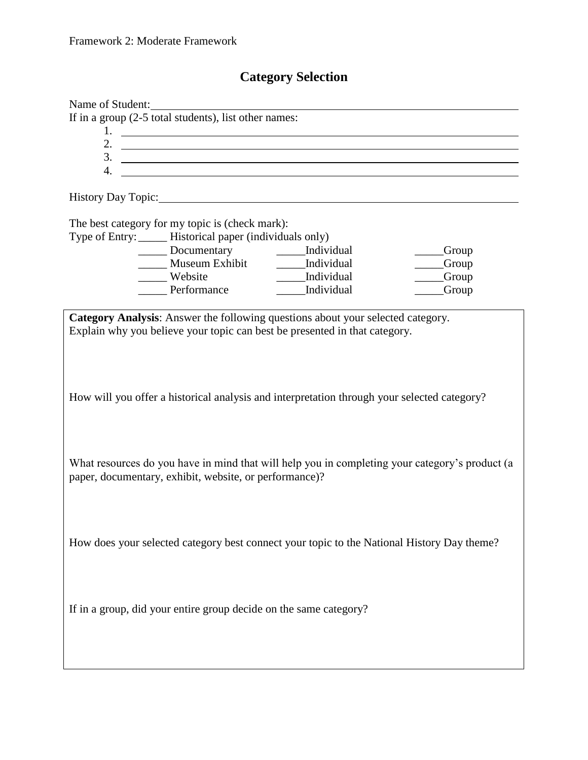# **Category Selection**

|                                                        | Name of Student:<br>If in a group (2-5 total students), list other names: |                                                                                                                                                               |                                                                                                |  |
|--------------------------------------------------------|---------------------------------------------------------------------------|---------------------------------------------------------------------------------------------------------------------------------------------------------------|------------------------------------------------------------------------------------------------|--|
|                                                        |                                                                           | $1.$ $\overline{\phantom{a}}$                                                                                                                                 |                                                                                                |  |
|                                                        |                                                                           |                                                                                                                                                               |                                                                                                |  |
|                                                        |                                                                           | $\frac{3}{2}$                                                                                                                                                 |                                                                                                |  |
|                                                        |                                                                           |                                                                                                                                                               |                                                                                                |  |
|                                                        |                                                                           |                                                                                                                                                               |                                                                                                |  |
|                                                        |                                                                           | History Day Topic: 1988 Contains a state of the Second Library Day Topic:                                                                                     |                                                                                                |  |
|                                                        | The best category for my topic is (check mark):                           |                                                                                                                                                               |                                                                                                |  |
|                                                        | Type of Entry: _____ Historical paper (individuals only)                  |                                                                                                                                                               |                                                                                                |  |
|                                                        | ______ Documentary ________ Individual                                    |                                                                                                                                                               | ___Group                                                                                       |  |
|                                                        | Museum Exhibit _______ Individual                                         |                                                                                                                                                               | ___Group                                                                                       |  |
|                                                        | Website                                                                   | ______Individual                                                                                                                                              | ___Group                                                                                       |  |
|                                                        | Performance                                                               | ______Individual                                                                                                                                              | <b>Group</b>                                                                                   |  |
|                                                        |                                                                           |                                                                                                                                                               |                                                                                                |  |
|                                                        |                                                                           | Category Analysis: Answer the following questions about your selected category.<br>Explain why you believe your topic can best be presented in that category. |                                                                                                |  |
|                                                        |                                                                           |                                                                                                                                                               |                                                                                                |  |
|                                                        |                                                                           |                                                                                                                                                               |                                                                                                |  |
|                                                        |                                                                           | How will you offer a historical analysis and interpretation through your selected category?                                                                   |                                                                                                |  |
|                                                        |                                                                           |                                                                                                                                                               |                                                                                                |  |
|                                                        |                                                                           |                                                                                                                                                               |                                                                                                |  |
|                                                        |                                                                           |                                                                                                                                                               | What resources do you have in mind that will help you in completing your category's product (a |  |
| paper, documentary, exhibit, website, or performance)? |                                                                           |                                                                                                                                                               |                                                                                                |  |
|                                                        |                                                                           |                                                                                                                                                               |                                                                                                |  |
|                                                        |                                                                           |                                                                                                                                                               |                                                                                                |  |
|                                                        |                                                                           |                                                                                                                                                               |                                                                                                |  |
|                                                        |                                                                           |                                                                                                                                                               |                                                                                                |  |
|                                                        |                                                                           | How does your selected category best connect your topic to the National History Day theme?                                                                    |                                                                                                |  |
|                                                        |                                                                           |                                                                                                                                                               |                                                                                                |  |
|                                                        |                                                                           |                                                                                                                                                               |                                                                                                |  |
|                                                        |                                                                           |                                                                                                                                                               |                                                                                                |  |
|                                                        |                                                                           |                                                                                                                                                               |                                                                                                |  |
|                                                        | If in a group, did your entire group decide on the same category?         |                                                                                                                                                               |                                                                                                |  |
|                                                        |                                                                           |                                                                                                                                                               |                                                                                                |  |
|                                                        |                                                                           |                                                                                                                                                               |                                                                                                |  |
|                                                        |                                                                           |                                                                                                                                                               |                                                                                                |  |
|                                                        |                                                                           |                                                                                                                                                               |                                                                                                |  |
|                                                        |                                                                           |                                                                                                                                                               |                                                                                                |  |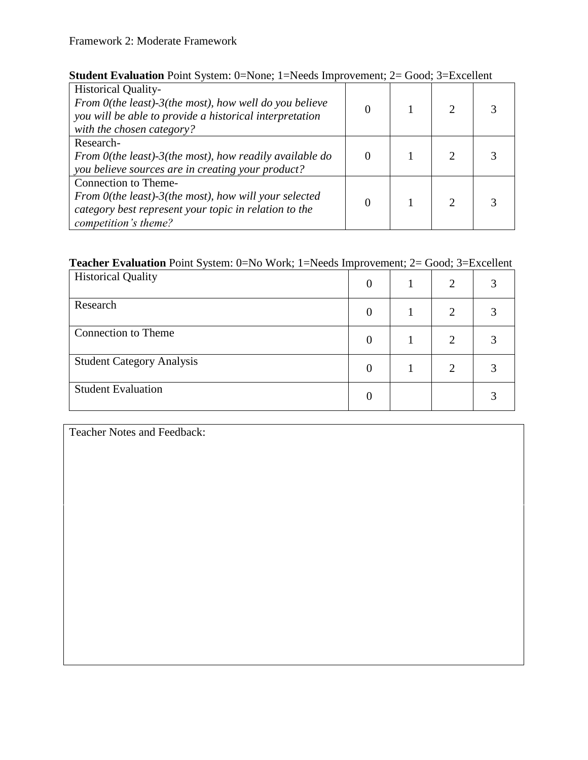### Framework 2: Moderate Framework

| <b>Student Evaluation</b> Point System: $0 = None$ : $1 = Needs$ Improvement; $2 = Good$ : $3 = Excel$                                                                                                                                                                                                                                                                                 |  |  |
|----------------------------------------------------------------------------------------------------------------------------------------------------------------------------------------------------------------------------------------------------------------------------------------------------------------------------------------------------------------------------------------|--|--|
| $\mathbf{I}$ $\mathbf{I}^{\prime}$ $\mathbf{I}^{\prime}$ $\mathbf{I}^{\prime}$ $\mathbf{I}^{\prime}$ $\mathbf{I}^{\prime}$ $\mathbf{I}^{\prime}$ $\mathbf{I}^{\prime}$ $\mathbf{I}^{\prime}$ $\mathbf{I}^{\prime}$ $\mathbf{I}^{\prime}$ $\mathbf{I}^{\prime}$ $\mathbf{I}^{\prime}$ $\mathbf{I}^{\prime}$ $\mathbf{I}^{\prime}$ $\mathbf{I}^{\prime}$ $\mathbf{I}^{\prime}$ $\mathbf$ |  |  |

| <b>Historical Quality-</b><br>From 0(the least)-3(the most), how well do you believe<br>you will be able to provide a historical interpretation<br>with the chosen category? |  | $\mathcal{D}_{\mathcal{L}}$ |  |
|------------------------------------------------------------------------------------------------------------------------------------------------------------------------------|--|-----------------------------|--|
| Research-<br>From 0(the least)-3(the most), how readily available do<br>you believe sources are in creating your product?                                                    |  |                             |  |
| Connection to Theme-<br>From $0$ (the least)-3(the most), how will your selected<br>category best represent your topic in relation to the<br>competition's theme?            |  | $\mathcal{D}_{\mathcal{L}}$ |  |

### **Teacher Evaluation** Point System: 0=No Work; 1=Needs Improvement; 2= Good; 3=Excellent

| $\sim$ $\sim$ $\sim$             |  | - - - - - - |  |
|----------------------------------|--|-------------|--|
| <b>Historical Quality</b>        |  | 2           |  |
| Research                         |  | 2           |  |
| <b>Connection to Theme</b>       |  |             |  |
| <b>Student Category Analysis</b> |  |             |  |
| <b>Student Evaluation</b>        |  |             |  |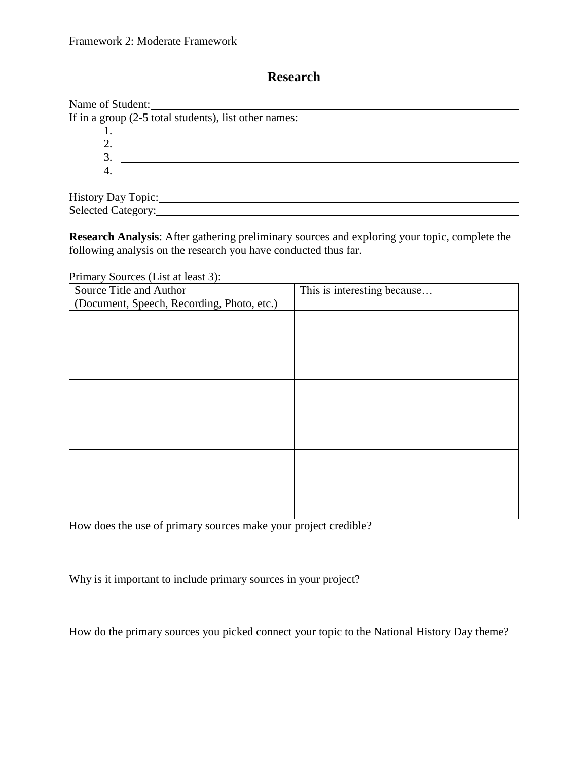# **Research**

| Name of Student:                                        |  |
|---------------------------------------------------------|--|
| If in a group $(2-5$ total students), list other names: |  |
|                                                         |  |
| $\overline{2}$                                          |  |
| $\mathfrak{Z}$                                          |  |
| 4.                                                      |  |
|                                                         |  |
| History Day Topic:                                      |  |
| Selected Category:                                      |  |

**Research Analysis**: After gathering preliminary sources and exploring your topic, complete the following analysis on the research you have conducted thus far.

Primary Sources (List at least 3):

| Source Title and Author                    | This is interesting because |
|--------------------------------------------|-----------------------------|
| (Document, Speech, Recording, Photo, etc.) |                             |
|                                            |                             |
|                                            |                             |
|                                            |                             |
|                                            |                             |
|                                            |                             |
|                                            |                             |
|                                            |                             |
|                                            |                             |
|                                            |                             |
|                                            |                             |
|                                            |                             |
|                                            |                             |
|                                            |                             |
|                                            |                             |
|                                            |                             |

How does the use of primary sources make your project credible?

Why is it important to include primary sources in your project?

How do the primary sources you picked connect your topic to the National History Day theme?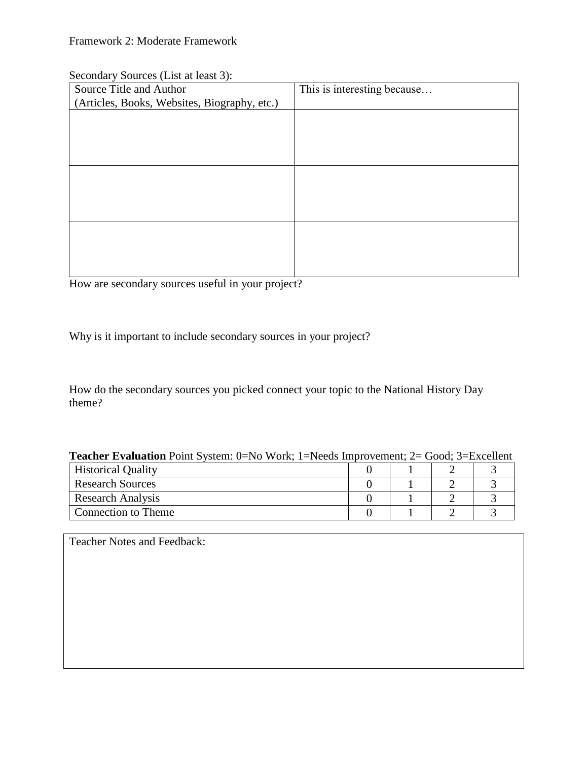#### Secondary Sources (List at least 3):

| Source Title and Author                      | This is interesting because |
|----------------------------------------------|-----------------------------|
| (Articles, Books, Websites, Biography, etc.) |                             |
|                                              |                             |
|                                              |                             |
|                                              |                             |
|                                              |                             |
|                                              |                             |
|                                              |                             |
|                                              |                             |
|                                              |                             |
|                                              |                             |
|                                              |                             |
|                                              |                             |
|                                              |                             |

How are secondary sources useful in your project?

Why is it important to include secondary sources in your project?

How do the secondary sources you picked connect your topic to the National History Day theme?

| <b>Teacher Evaluation</b> Point System: $0=N_0$ Work; $1=N$ eeds Improvement; $2=Good; 3=Excell$ ent |  |  |
|------------------------------------------------------------------------------------------------------|--|--|
| <b>Historical Quality</b>                                                                            |  |  |
| <b>Research Sources</b>                                                                              |  |  |
| <b>Research Analysis</b>                                                                             |  |  |
| Connection to Theme                                                                                  |  |  |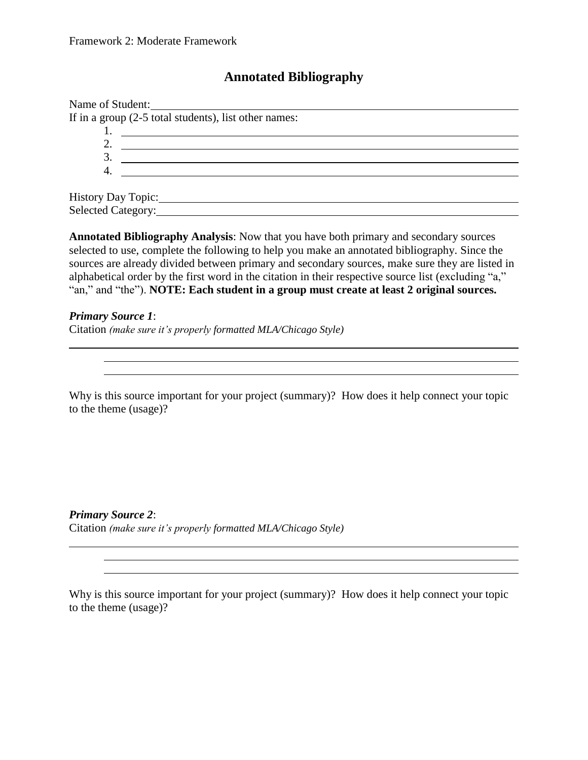## **Annotated Bibliography**

| Name of Student:                                        |  |
|---------------------------------------------------------|--|
| If in a group $(2-5$ total students), list other names: |  |
|                                                         |  |
|                                                         |  |
| 3                                                       |  |
|                                                         |  |
|                                                         |  |
| History Day Topic:                                      |  |
| Selected Category:                                      |  |

**Annotated Bibliography Analysis**: Now that you have both primary and secondary sources selected to use, complete the following to help you make an annotated bibliography. Since the sources are already divided between primary and secondary sources, make sure they are listed in alphabetical order by the first word in the citation in their respective source list (excluding "a," "an," and "the"). **NOTE: Each student in a group must create at least 2 original sources.**

*Primary Source 1*: Citation *(make sure it's properly formatted MLA/Chicago Style)*

Why is this source important for your project (summary)? How does it help connect your topic to the theme (usage)?

<u> 1980 - Johann Barnett, fransk politik (f. 1980)</u>

*Primary Source 2*: Citation *(make sure it's properly formatted MLA/Chicago Style)*

Why is this source important for your project (summary)? How does it help connect your topic to the theme (usage)?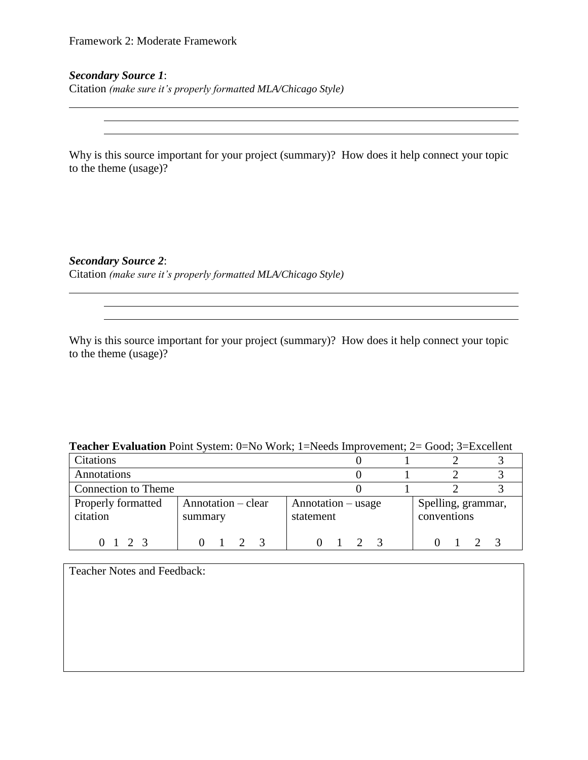#### *Secondary Source 1*:

Citation *(make sure it's properly formatted MLA/Chicago Style)*

Why is this source important for your project (summary)? How does it help connect your topic to the theme (usage)?

#### *Secondary Source 2*:

Citation *(make sure it's properly formatted MLA/Chicago Style)*

Why is this source important for your project (summary)? How does it help connect your topic to the theme (usage)?

<u> 1989 - Johann Barbara, martin amerikan basar dan berasal dalam basa dalam basa dalam basa dalam basa dalam b</u>

#### **Teacher Evaluation** Point System: 0=No Work; 1=Needs Improvement; 2= Good; 3=Excellent

| Citations                      |                               |                                 |                                   |
|--------------------------------|-------------------------------|---------------------------------|-----------------------------------|
| Annotations                    |                               |                                 |                                   |
| Connection to Theme            |                               |                                 |                                   |
| Properly formatted<br>citation | Annotation – clear<br>summary | Annotation – usage<br>statement | Spelling, grammar,<br>conventions |
| 0123                           |                               |                                 |                                   |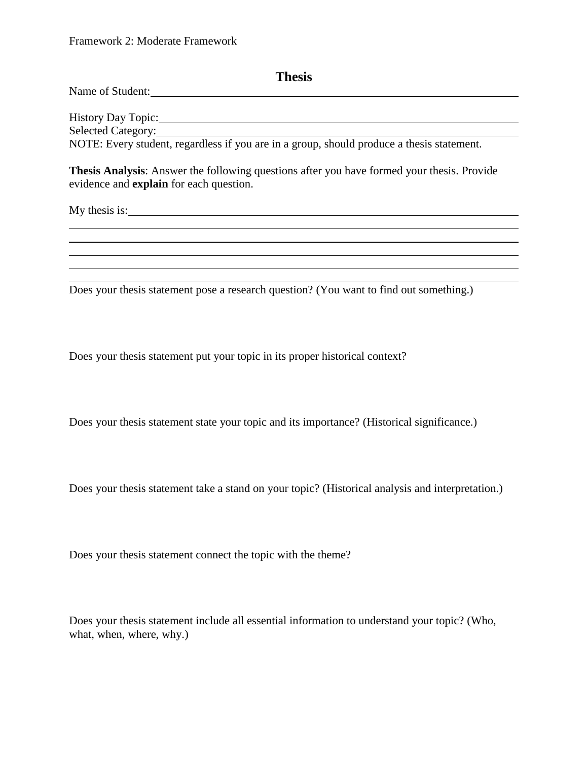| Thesis                                                                                                                                                                                                                                                                                                                                                                                |
|---------------------------------------------------------------------------------------------------------------------------------------------------------------------------------------------------------------------------------------------------------------------------------------------------------------------------------------------------------------------------------------|
| Name of Student:<br><u> and</u><br><u> and</u><br><u> and</u><br><u>and</u><br><u>and</u><br>and<br><b>and</b><br>and<br><b>and</b><br><b>and</b><br><b>and</b><br><b>and</b><br><b>and</b><br><b>and</b><br><b>and</b><br><b>and</b><br><b>and</b><br><b>and</b><br><b>and</b><br><b>and</b><br><b>and</b><br><b>and</b><br><b>and</b><br><b>and</b><br><b>and</b><br><b>and</b><br> |
| Selected Category:<br>NOTE: Every student, regardless if you are in a group, should produce a thesis statement.                                                                                                                                                                                                                                                                       |
| Thesis Analysis: Answer the following questions after you have formed your thesis. Provide<br>evidence and <b>explain</b> for each question.                                                                                                                                                                                                                                          |
|                                                                                                                                                                                                                                                                                                                                                                                       |
|                                                                                                                                                                                                                                                                                                                                                                                       |
| Does your thesis statement pose a research question? (You want to find out something.)                                                                                                                                                                                                                                                                                                |
|                                                                                                                                                                                                                                                                                                                                                                                       |

Does your thesis statement put your topic in its proper historical context?

Does your thesis statement state your topic and its importance? (Historical significance.)

Does your thesis statement take a stand on your topic? (Historical analysis and interpretation.)

Does your thesis statement connect the topic with the theme?

Does your thesis statement include all essential information to understand your topic? (Who, what, when, where, why.)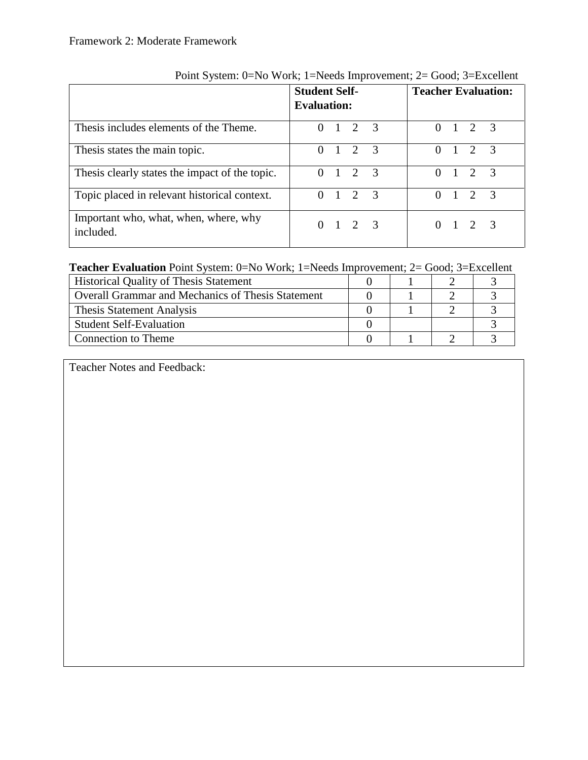|                                                    | <b>Student Self-</b><br><b>Evaluation:</b> | <b>Teacher Evaluation:</b>   |  |  |  |
|----------------------------------------------------|--------------------------------------------|------------------------------|--|--|--|
| Thesis includes elements of the Theme.             | $0 \t1 \t2 \t3$                            | $0 \t1 \t2 \t3$              |  |  |  |
| Thesis states the main topic.                      | $0 \t1 \t2 \t3$                            | $0 \t1 \t2 \t3$              |  |  |  |
| Thesis clearly states the impact of the topic.     | $0 \t1 \t2 \t3$                            | $0 \t1 \t2 \t3$              |  |  |  |
| Topic placed in relevant historical context.       | $0 \t1 \t2 \t3$                            | $0 \t1 \t2$<br>$\mathcal{R}$ |  |  |  |
| Important who, what, when, where, why<br>included. | $0 \t1 \t2 \t3$                            | $0 \t1 \t2 \t3$              |  |  |  |

Point System: 0=No Work; 1=Needs Improvement; 2= Good; 3=Excellent

### **Teacher Evaluation** Point System: 0=No Work; 1=Needs Improvement; 2= Good; 3=Excellent

| <b>Historical Quality of Thesis Statement</b>     |  |  |
|---------------------------------------------------|--|--|
| Overall Grammar and Mechanics of Thesis Statement |  |  |
| <b>Thesis Statement Analysis</b>                  |  |  |
| <b>Student Self-Evaluation</b>                    |  |  |
| Connection to Theme                               |  |  |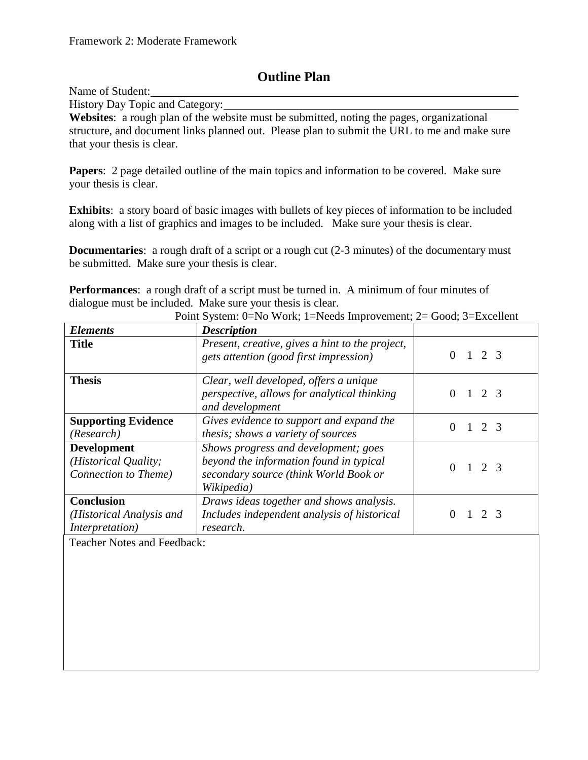## **Outline Plan**

Name of Student:

History Day Topic and Category:

**Websites**: a rough plan of the website must be submitted, noting the pages, organizational structure, and document links planned out. Please plan to submit the URL to me and make sure that your thesis is clear.

**Papers**: 2 page detailed outline of the main topics and information to be covered. Make sure your thesis is clear.

**Exhibits**: a story board of basic images with bullets of key pieces of information to be included along with a list of graphics and images to be included. Make sure your thesis is clear.

**Documentaries:** a rough draft of a script or a rough cut (2-3 minutes) of the documentary must be submitted. Make sure your thesis is clear.

**Performances:** a rough draft of a script must be turned in. A minimum of four minutes of dialogue must be included. Make sure your thesis is clear.

| <b>Elements</b>                                                    | <b>Description</b>                                                                                                                     |                     |
|--------------------------------------------------------------------|----------------------------------------------------------------------------------------------------------------------------------------|---------------------|
| <b>Title</b>                                                       | Present, creative, gives a hint to the project,<br>gets attention (good first impression)                                              | 1 2 3<br>0          |
| <b>Thesis</b>                                                      | Clear, well developed, offers a unique<br>perspective, allows for analytical thinking<br>and development                               | 2 3                 |
| <b>Supporting Evidence</b><br>(Research)                           | Gives evidence to support and expand the<br>thesis; shows a variety of sources                                                         | $2^{9}$<br>$\theta$ |
| <b>Development</b><br>(Historical Quality;<br>Connection to Theme) | Shows progress and development; goes<br>beyond the information found in typical<br>secondary source (think World Book or<br>Wikipedia) | $1\quad 2\quad 3$   |
| <b>Conclusion</b><br>(Historical Analysis and<br>Interpretation)   | Draws ideas together and shows analysis.<br>Includes independent analysis of historical<br>research.                                   | 2 <sup>7</sup>      |

Point System: 0=No Work; 1=Needs Improvement; 2= Good; 3=Excellent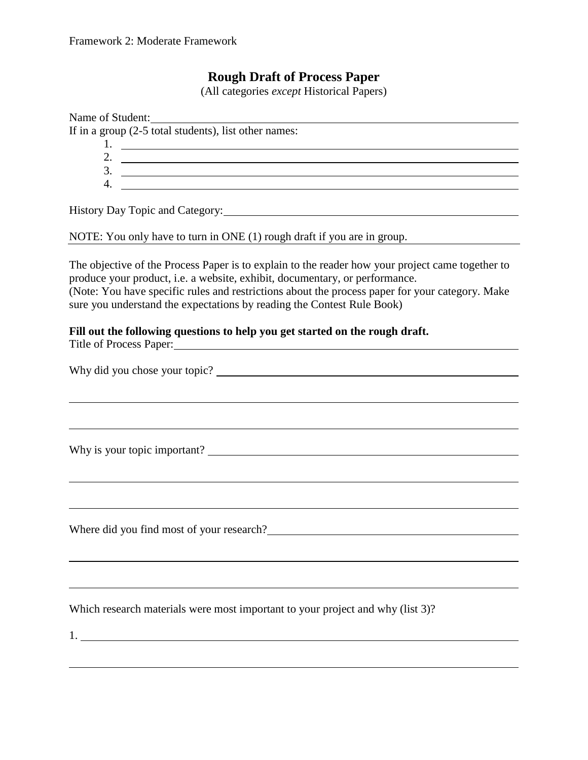## **Rough Draft of Process Paper**

(All categories *except* Historical Papers)

| Name of Student:<br>If in a group $(2-5$ total students), list other names:<br>2. $\overline{\phantom{a}}$<br>$3.$ $\overline{\phantom{a}}$<br>4. $\overline{\phantom{a}}$                                                                                                                                                                                   |
|--------------------------------------------------------------------------------------------------------------------------------------------------------------------------------------------------------------------------------------------------------------------------------------------------------------------------------------------------------------|
| History Day Topic and Category:                                                                                                                                                                                                                                                                                                                              |
| NOTE: You only have to turn in ONE (1) rough draft if you are in group.                                                                                                                                                                                                                                                                                      |
| The objective of the Process Paper is to explain to the reader how your project came together to<br>produce your product, i.e. a website, exhibit, documentary, or performance.<br>(Note: You have specific rules and restrictions about the process paper for your category. Make<br>sure you understand the expectations by reading the Contest Rule Book) |
| Fill out the following questions to help you get started on the rough draft.<br>Title of Process Paper:                                                                                                                                                                                                                                                      |
|                                                                                                                                                                                                                                                                                                                                                              |
|                                                                                                                                                                                                                                                                                                                                                              |
|                                                                                                                                                                                                                                                                                                                                                              |
|                                                                                                                                                                                                                                                                                                                                                              |
| Where did you find most of your research?                                                                                                                                                                                                                                                                                                                    |
|                                                                                                                                                                                                                                                                                                                                                              |
| Which research materials were most important to your project and why (list 3)?                                                                                                                                                                                                                                                                               |
|                                                                                                                                                                                                                                                                                                                                                              |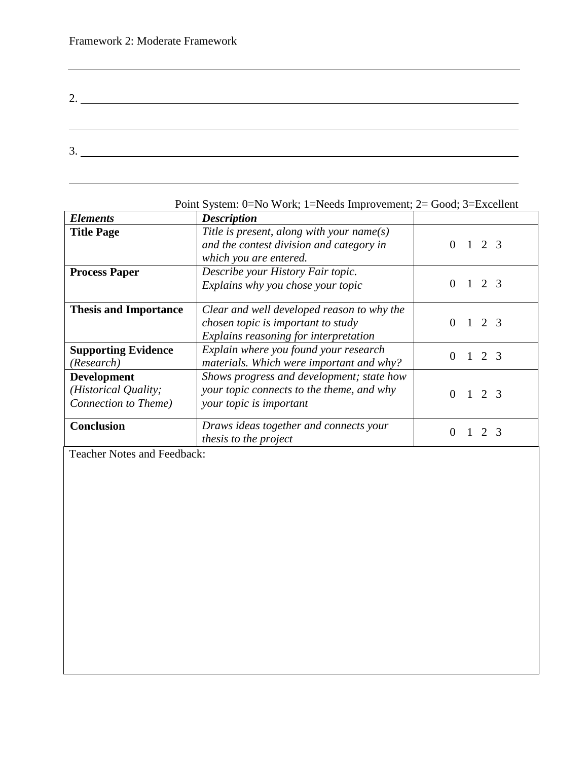| ി<br>Ź. |                                                                                                                      |  |  |  |
|---------|----------------------------------------------------------------------------------------------------------------------|--|--|--|
|         |                                                                                                                      |  |  |  |
|         |                                                                                                                      |  |  |  |
| 3.      | <u> 1980 - Jan Stein Stein Stein Stein Stein Stein Stein Stein Stein Stein Stein Stein Stein Stein Stein Stein S</u> |  |  |  |
|         |                                                                                                                      |  |  |  |

| POINT System. U—INO WOLK, T—INEEUS IMPROVEMENT, $2-$ GOOD, D—EXCEMENT |                                            |                         |  |
|-----------------------------------------------------------------------|--------------------------------------------|-------------------------|--|
| <b>Elements</b>                                                       | <b>Description</b>                         |                         |  |
| <b>Title Page</b>                                                     | Title is present, along with your name(s)  |                         |  |
|                                                                       | and the contest division and category in   | $2 \overline{3}$        |  |
|                                                                       | which you are entered.                     |                         |  |
| <b>Process Paper</b>                                                  | Describe your History Fair topic.          |                         |  |
|                                                                       | Explains why you chose your topic          | 2 <sub>3</sub>          |  |
| <b>Thesis and Importance</b>                                          | Clear and well developed reason to why the |                         |  |
|                                                                       | chosen topic is important to study         | 2 <sub>3</sub>          |  |
|                                                                       | Explains reasoning for interpretation      |                         |  |
| <b>Supporting Evidence</b>                                            | Explain where you found your research      | 2 3<br>0                |  |
| (Research)                                                            | materials. Which were important and why?   |                         |  |
| <b>Development</b>                                                    | Shows progress and development; state how  |                         |  |
| (Historical Quality;                                                  | your topic connects to the theme, and why  | $1 \t2 \t3$<br>$\Omega$ |  |
| Connection to Theme)                                                  | your topic is important                    |                         |  |
| <b>Conclusion</b>                                                     | Draws ideas together and connects your     |                         |  |
|                                                                       | thesis to the project                      |                         |  |

Point System: 0=No Work; 1=Needs Improvement; 2= Good; 3=Excellent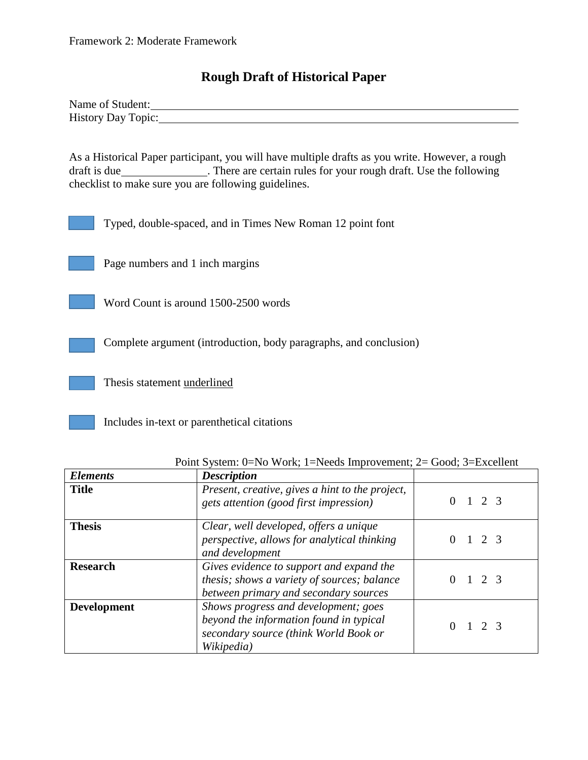## **Rough Draft of Historical Paper**

| Name of Student:   |  |  |
|--------------------|--|--|
| History Day Topic: |  |  |

As a Historical Paper participant, you will have multiple drafts as you write. However, a rough draft is due . There are certain rules for your rough draft. Use the following checklist to make sure you are following guidelines.

Typed, double-spaced, and in Times New Roman 12 point font



Word Count is around 1500-2500 words

Complete argument (introduction, body paragraphs, and conclusion)

Thesis statement underlined

Includes in-text or parenthetical citations

| <b>Elements</b>    | <b>Description</b>                                                                                                                     |                   |
|--------------------|----------------------------------------------------------------------------------------------------------------------------------------|-------------------|
| <b>Title</b>       | Present, creative, gives a hint to the project,<br>gets attention (good first impression)                                              | $1\quad 2\quad 3$ |
| <b>Thesis</b>      | Clear, well developed, offers a unique<br>perspective, allows for analytical thinking<br>and development                               | $1\quad 2\quad 3$ |
| <b>Research</b>    | Gives evidence to support and expand the<br>thesis; shows a variety of sources; balance<br>between primary and secondary sources       | $1 \t2 \t3$       |
| <b>Development</b> | Shows progress and development; goes<br>beyond the information found in typical<br>secondary source (think World Book or<br>Wikipedia) | $1\quad 2\quad 3$ |

Point System: 0=No Work; 1=Needs Improvement; 2= Good; 3=Excellent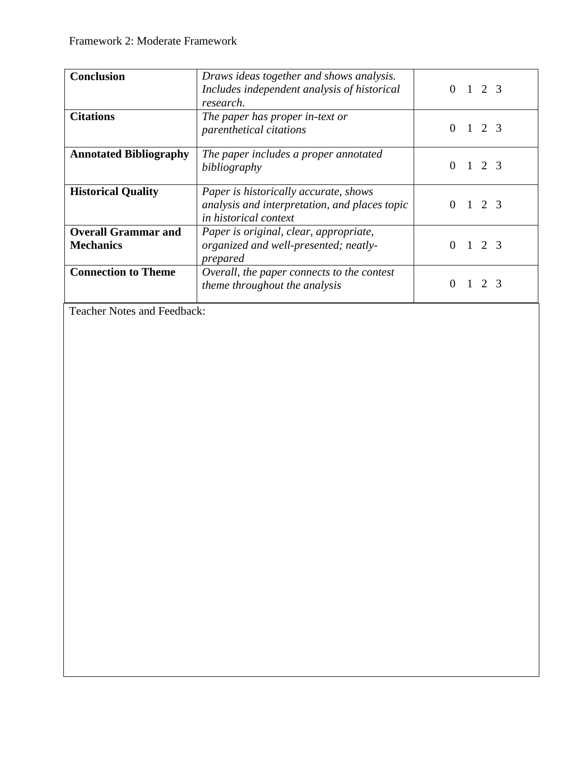| <b>Conclusion</b>                              | Draws ideas together and shows analysis.<br>Includes independent analysis of historical<br>research.            | $2^{9}$           |
|------------------------------------------------|-----------------------------------------------------------------------------------------------------------------|-------------------|
| <b>Citations</b>                               | The paper has proper in-text or<br>parenthetical citations                                                      | $1\quad 2\quad 3$ |
| <b>Annotated Bibliography</b>                  | The paper includes a proper annotated<br>bibliography                                                           | 1 2 3             |
| <b>Historical Quality</b>                      | Paper is historically accurate, shows<br>analysis and interpretation, and places topic<br>in historical context | 123<br>$\Omega$   |
| <b>Overall Grammar and</b><br><b>Mechanics</b> | Paper is original, clear, appropriate,<br>organized and well-presented; neatly-<br>prepared                     | 2 3               |
| <b>Connection to Theme</b>                     | Overall, the paper connects to the contest<br>theme throughout the analysis                                     | 2 <sup>3</sup>    |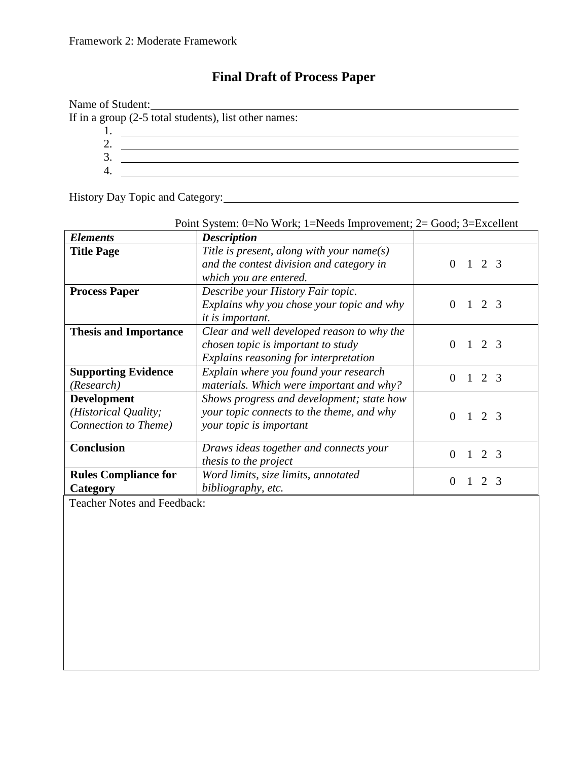# **Final Draft of Process Paper**

| Name of Student: | <u> 1989 - Andrea State Barbara, amerikan personal di sebagai personal di sebagai personal di sebagai personal di</u> |  |
|------------------|-----------------------------------------------------------------------------------------------------------------------|--|
|                  | If in a group $(2-5$ total students), list other names:                                                               |  |
|                  |                                                                                                                       |  |
|                  |                                                                                                                       |  |
|                  |                                                                                                                       |  |
|                  |                                                                                                                       |  |

History Day Topic and Category: 1988 Manual Manual Manual Manual Manual Manual Manual Manual Manual Manual Manual Manual Manual Manual Manual Manual Manual Manual Manual Manual Manual Manual Manual Manual Manual Manual Man

| Point System: $0=No$ Work; 1=Needs Improvement; $2=Good$ ; 3=Excellent |                                            |          |  |                       |               |
|------------------------------------------------------------------------|--------------------------------------------|----------|--|-----------------------|---------------|
| <b>Elements</b>                                                        | <b>Description</b>                         |          |  |                       |               |
| <b>Title Page</b>                                                      | Title is present, along with your name(s)  |          |  |                       |               |
|                                                                        | and the contest division and category in   | $\Omega$ |  | $1\quad 2\quad 3$     |               |
|                                                                        | which you are entered.                     |          |  |                       |               |
| <b>Process Paper</b>                                                   | Describe your History Fair topic.          |          |  |                       |               |
|                                                                        | Explains why you chose your topic and why  | $\Omega$ |  | 2 <sub>3</sub>        |               |
|                                                                        | <i>it is important.</i>                    |          |  |                       |               |
| <b>Thesis and Importance</b>                                           | Clear and well developed reason to why the |          |  |                       |               |
|                                                                        | chosen topic is important to study         | 0        |  | 1 2 3                 |               |
|                                                                        | Explains reasoning for interpretation      |          |  |                       |               |
| <b>Supporting Evidence</b>                                             | Explain where you found your research      | 0        |  |                       |               |
| (Research)                                                             | materials. Which were important and why?   |          |  | 2 3                   |               |
| <b>Development</b>                                                     | Shows progress and development; state how  |          |  |                       |               |
| (Historical Quality;                                                   | your topic connects to the theme, and why  | $\Omega$ |  | $1\quad 2\quad 3$     |               |
| Connection to Theme)                                                   | your topic is important                    |          |  |                       |               |
|                                                                        |                                            |          |  |                       |               |
| <b>Conclusion</b>                                                      | Draws ideas together and connects your     | $\Omega$ |  | $1\quad 2\quad 3$     |               |
|                                                                        | thesis to the project                      |          |  |                       |               |
| <b>Rules Compliance for</b>                                            | Word limits, size limits, annotated        | $\Omega$ |  | $\mathcal{D}_{\cdot}$ | $\mathcal{R}$ |
| Category                                                               | bibliography, etc.                         |          |  |                       |               |

Point System: 0=No Work; 1=Needs Improvement; 2= Good; 3=Excellent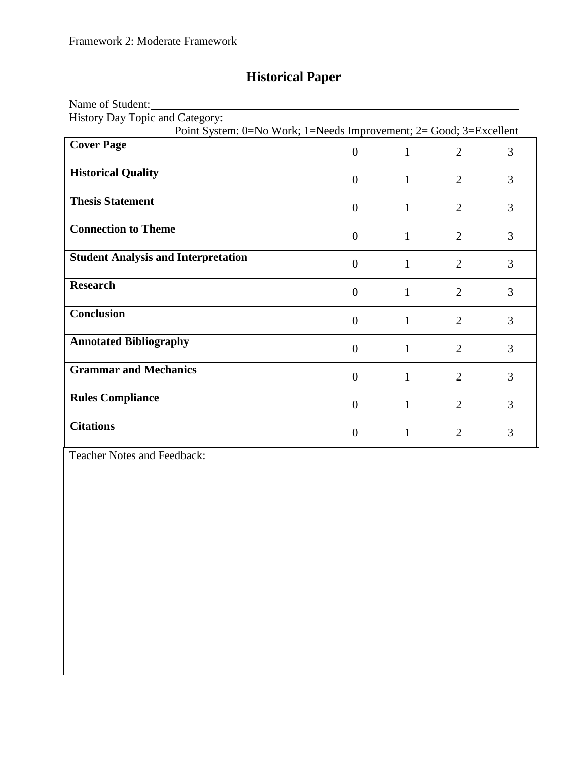# **Historical Paper**

| Name of Student:                                                     |                  |              |                |   |
|----------------------------------------------------------------------|------------------|--------------|----------------|---|
| History Day Topic and Category:                                      |                  |              |                |   |
| Point System: $0=No$ Work; 1=Needs Improvement; 2= Good; 3=Excellent |                  |              |                |   |
| <b>Cover Page</b>                                                    | $\boldsymbol{0}$ | 1            | $\overline{2}$ | 3 |
| <b>Historical Quality</b>                                            | $\overline{0}$   | 1            | $\overline{2}$ | 3 |
| <b>Thesis Statement</b>                                              | $\overline{0}$   | $\mathbf{1}$ | $\overline{2}$ | 3 |
| <b>Connection to Theme</b>                                           | $\theta$         | $\mathbf{1}$ | $\overline{2}$ | 3 |
| <b>Student Analysis and Interpretation</b>                           | $\overline{0}$   | $\mathbf{1}$ | $\overline{2}$ | 3 |
| <b>Research</b>                                                      | $\overline{0}$   | $\mathbf{1}$ | $\overline{2}$ | 3 |
| <b>Conclusion</b>                                                    | $\Omega$         | $\mathbf{1}$ | $\overline{2}$ | 3 |
| <b>Annotated Bibliography</b>                                        | $\Omega$         | $\mathbf{1}$ | $\overline{2}$ | 3 |
| <b>Grammar and Mechanics</b>                                         | $\theta$         | $\mathbf{1}$ | $\overline{2}$ | 3 |
| <b>Rules Compliance</b>                                              | $\theta$         | $\mathbf{1}$ | $\overline{2}$ | 3 |
| <b>Citations</b>                                                     | $\overline{0}$   | 1            | $\overline{2}$ | 3 |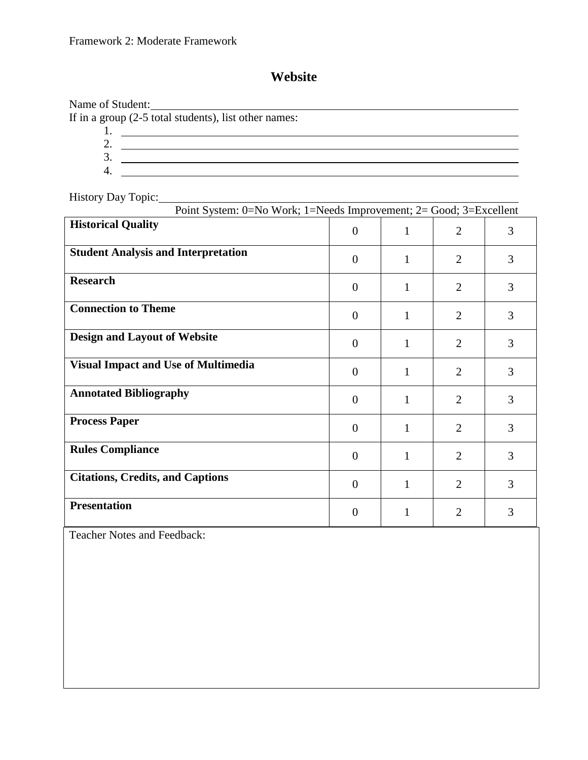# **Website**

Name of Student:

If in a group  $(2-5 \text{ total students})$ , list other names:

1. 2. 3. 4.

<u> 1989 - Johann Stoff, Amerikaansk politiker (</u>

History Day Topic: 1988 Contact the United States of the United States of the United States of the United States of the United States of the United States of the United States of the United States of the United States of t

| Point System: 0=No Work; 1=Needs Improvement; 2= Good; 3=Excellent |                |              |                |   |
|--------------------------------------------------------------------|----------------|--------------|----------------|---|
| <b>Historical Quality</b>                                          | $\overline{0}$ | $\mathbf{1}$ | $\overline{2}$ | 3 |
| <b>Student Analysis and Interpretation</b>                         | $\theta$       | 1            | $\overline{2}$ | 3 |
| <b>Research</b>                                                    | $\overline{0}$ | $\mathbf{1}$ | $\overline{2}$ | 3 |
| <b>Connection to Theme</b>                                         | $\overline{0}$ | $\mathbf{1}$ | $\overline{2}$ | 3 |
| <b>Design and Layout of Website</b>                                | $\overline{0}$ | 1            | $\overline{2}$ | 3 |
| <b>Visual Impact and Use of Multimedia</b>                         | $\overline{0}$ | 1            | $\overline{2}$ | 3 |
| <b>Annotated Bibliography</b>                                      | $\overline{0}$ | $\mathbf{1}$ | $\overline{2}$ | 3 |
| <b>Process Paper</b>                                               | $\theta$       | $\mathbf{1}$ | $\overline{2}$ | 3 |
| <b>Rules Compliance</b>                                            | $\theta$       | 1            | $\overline{2}$ | 3 |
| <b>Citations, Credits, and Captions</b>                            | $\overline{0}$ | 1            | $\overline{2}$ | 3 |
| <b>Presentation</b>                                                | $\overline{0}$ | 1            | $\overline{2}$ | 3 |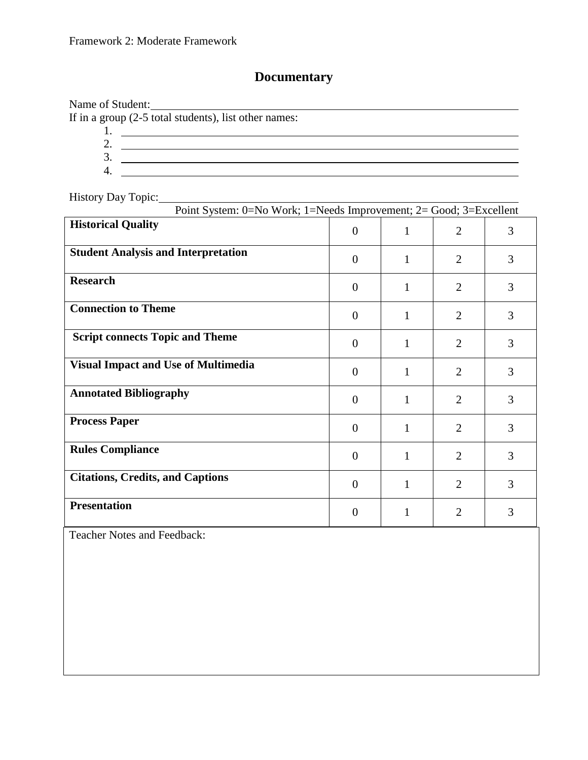### **Documentary**

Name of Student: If in a group  $(2-5$  total students), list other names: 1. 2. 3. 4. History Day Topic: Point System: 0=No Work; 1=Needs Improvement; 2= Good; 3=Excellent **Fistorical Quality and Quality Contained Quality Contained Apple 2** 3 **Student Analysis and Interpretation** 0 1 2 3 **Research** 1 0 1 2 3 **Connection to Theme** 0 1 2 3 **Script connects Topic and Theme** 0 1 2 3 **Visual Impact and Use of Multimedia** 0 1 2 3 **Annotated Bibliography** 2 3 3 **Process Paper** 2 2 3 **Rules Compliance 1 0** 1 **2** 3 **Citations, Credits, and Captions 0** 1 2 3 **Presentation** 1 0 1 2 3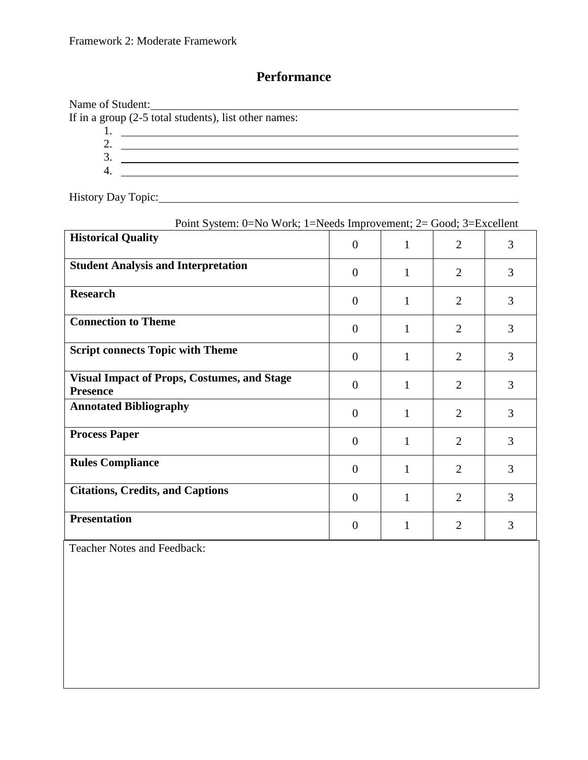# **Performance**

Name of Student: Name of Student:<br>If in a group (2-5 total students), list other names: 1. 2. 3. 4.

History Day Topic: 1988 Contact the United States of the United States of the United States of the United States of the United States of the United States of the United States of the United States of the United States of t

| Point System: 0=No Work; 1=Needs Improvement; 2= Good; 3=Excellent    |                |   |                |   |
|-----------------------------------------------------------------------|----------------|---|----------------|---|
| <b>Historical Quality</b>                                             | $\theta$       | 1 | $\overline{2}$ | 3 |
| <b>Student Analysis and Interpretation</b>                            | $\theta$       |   | $\overline{2}$ | 3 |
| <b>Research</b>                                                       | $\overline{0}$ |   | $\overline{2}$ | 3 |
| <b>Connection to Theme</b>                                            | $\theta$       | 1 | $\overline{2}$ | 3 |
| <b>Script connects Topic with Theme</b>                               | $\theta$       | 1 | $\overline{2}$ | 3 |
| <b>Visual Impact of Props, Costumes, and Stage</b><br><b>Presence</b> | $\Omega$       | 1 | $\overline{2}$ | 3 |
| <b>Annotated Bibliography</b>                                         | $\theta$       | 1 | $\overline{2}$ | 3 |
| <b>Process Paper</b>                                                  | $\theta$       | 1 | $\overline{2}$ | 3 |
| <b>Rules Compliance</b>                                               | $\theta$       | 1 | $\overline{2}$ | 3 |
| <b>Citations, Credits, and Captions</b>                               | $\overline{0}$ | 1 | $\overline{2}$ | 3 |
| <b>Presentation</b>                                                   | $\Omega$       |   | $\overline{2}$ | 3 |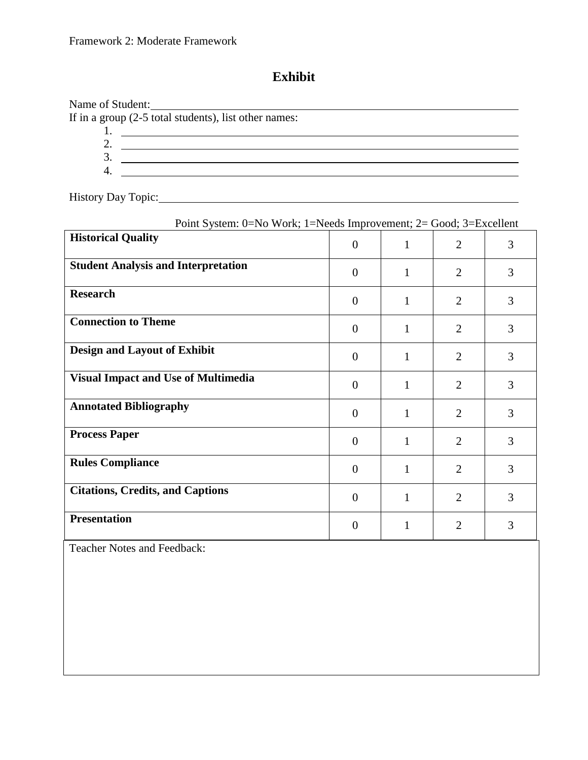# **Exhibit**

Name of Student: Name of Student:<br>If in a group (2-5 total students), list other names: 1. 2. 3. 4.

History Day Topic: 1988 Contact the United States of the United States of the United States of the United States of the United States of the United States of the United States of the United States of the United States of t

| Point System: 0=No Work; 1=Needs Improvement; 2= Good; 3=Excellent |                |              |                |   |
|--------------------------------------------------------------------|----------------|--------------|----------------|---|
| <b>Historical Quality</b>                                          | $\overline{0}$ | $\mathbf{1}$ | $\overline{2}$ | 3 |
| <b>Student Analysis and Interpretation</b>                         | $\theta$       | 1            | $\overline{2}$ | 3 |
| <b>Research</b>                                                    | $\theta$       | 1            | $\overline{2}$ | 3 |
| <b>Connection to Theme</b>                                         | $\theta$       | 1            | $\overline{2}$ | 3 |
| <b>Design and Layout of Exhibit</b>                                | $\overline{0}$ | 1            | $\overline{2}$ | 3 |
| <b>Visual Impact and Use of Multimedia</b>                         | $\theta$       | 1            | $\overline{2}$ | 3 |
| <b>Annotated Bibliography</b>                                      | $\overline{0}$ | 1            | $\overline{2}$ | 3 |
| <b>Process Paper</b>                                               | $\theta$       | 1            | $\overline{2}$ | 3 |
| <b>Rules Compliance</b>                                            | $\theta$       | $\mathbf{1}$ | $\overline{2}$ | 3 |
| <b>Citations, Credits, and Captions</b>                            | $\theta$       | 1            | $\overline{2}$ | 3 |
| <b>Presentation</b>                                                | $\overline{0}$ | 1            | $\overline{2}$ | 3 |